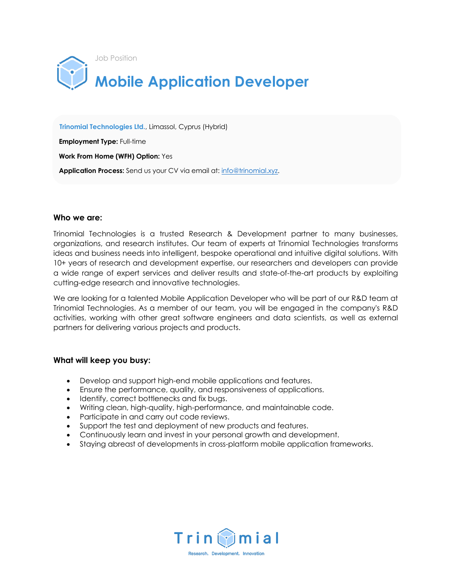

 **Trinomial Technologies Ltd.**, Limassol, Cyprus (Hybrid)

 **Employment Type:** Full-time

 **Work From Home (WFH) Option:** Yes

**Application Process:** Send us your CV via email at: info@trinomial.xyz.

#### **Who we are:**

Trinomial Technologies is a trusted Research & Development partner to many businesses, organizations, and research institutes. Our team of experts at Trinomial Technologies transforms ideas and business needs into intelligent, bespoke operational and intuitive digital solutions. With 10+ years of research and development expertise, our researchers and developers can provide a wide range of expert services and deliver results and state-of-the-art products by exploiting cutting-edge research and innovative technologies.

We are looking for a talented Mobile Application Developer who will be part of our R&D team at Trinomial Technologies. As a member of our team, you will be engaged in the company's R&D activities, working with other great software engineers and data scientists, as well as external partners for delivering various projects and products.

### **What will keep you busy:**

- Develop and support high-end mobile applications and features.
- Ensure the performance, quality, and responsiveness of applications.
- Identify, correct bottlenecks and fix bugs.
- Writing clean, high-quality, high-performance, and maintainable code.
- Participate in and carry out code reviews.
- Support the test and deployment of new products and features.
- Continuously learn and invest in your personal growth and development.
- Staying abreast of developments in cross-platform mobile application frameworks.